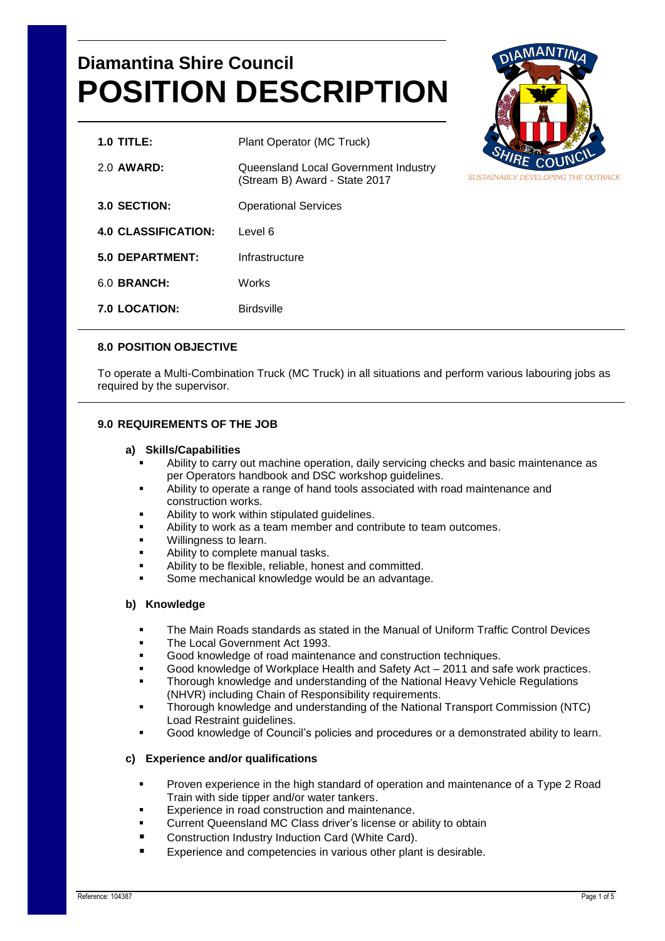# **Diamantina Shire Council POSITION DESCRIPTION**

| $1.0$ TITLE:               | Plant Operator (MC Truck)                                             |
|----------------------------|-----------------------------------------------------------------------|
| 2.0 AWARD:                 | Queensland Local Government Industry<br>(Stream B) Award - State 2017 |
| 3.0 SECTION:               | <b>Operational Services</b>                                           |
| <b>4.0 CLASSIFICATION:</b> | Level 6                                                               |
| 5.0 DEPARTMENT:            | Infrastructure                                                        |
| 6.0 BRANCH:                | Works                                                                 |
| <b>7.0 LOCATION:</b>       | <b>Birdsville</b>                                                     |



# **8.0 POSITION OBJECTIVE**

To operate a Multi-Combination Truck (MC Truck) in all situations and perform various labouring jobs as required by the supervisor.

### **9.0 REQUIREMENTS OF THE JOB**

#### **a) Skills/Capabilities**

- Ability to carry out machine operation, daily servicing checks and basic maintenance as per Operators handbook and DSC workshop guidelines.
- Ability to operate a range of hand tools associated with road maintenance and construction works.
- Ability to work within stipulated guidelines.
- Ability to work as a team member and contribute to team outcomes.
- Willingness to learn.
- Ability to complete manual tasks.
- Ability to be flexible, reliable, honest and committed.
- Some mechanical knowledge would be an advantage.

## **b) Knowledge**

- The Main Roads standards as stated in the Manual of Uniform Traffic Control Devices
- The Local Government Act 1993.
- Good knowledge of road maintenance and construction techniques.
- Good knowledge of Workplace Health and Safety Act 2011 and safe work practices.
- Thorough knowledge and understanding of the National Heavy Vehicle Regulations (NHVR) including Chain of Responsibility requirements.
- Thorough knowledge and understanding of the National Transport Commission (NTC) Load Restraint guidelines.
- Good knowledge of Council's policies and procedures or a demonstrated ability to learn.

#### **c) Experience and/or qualifications**

- Proven experience in the high standard of operation and maintenance of a Type 2 Road Train with side tipper and/or water tankers.
- Experience in road construction and maintenance.
- Current Queensland MC Class driver's license or ability to obtain
- Construction Industry Induction Card (White Card).
- Experience and competencies in various other plant is desirable.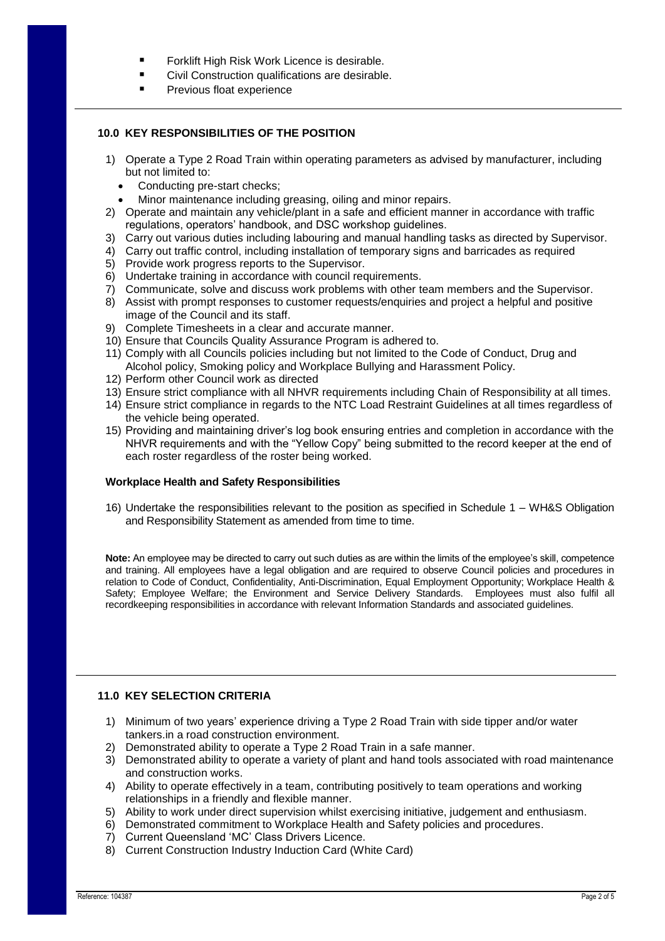- **Fig. 3** Forklift High Risk Work Licence is desirable.
	- Civil Construction qualifications are desirable.
- Previous float experience

#### **10.0 KEY RESPONSIBILITIES OF THE POSITION**

- 1) Operate a Type 2 Road Train within operating parameters as advised by manufacturer, including but not limited to:
	- Conducting pre-start checks:
	- Minor maintenance including greasing, oiling and minor repairs.
- 2) Operate and maintain any vehicle/plant in a safe and efficient manner in accordance with traffic regulations, operators' handbook, and DSC workshop guidelines.
- 3) Carry out various duties including labouring and manual handling tasks as directed by Supervisor.
- 4) Carry out traffic control, including installation of temporary signs and barricades as required
- 5) Provide work progress reports to the Supervisor.
- 6) Undertake training in accordance with council requirements.
- 7) Communicate, solve and discuss work problems with other team members and the Supervisor.
- 8) Assist with prompt responses to customer requests/enquiries and project a helpful and positive image of the Council and its staff.
- 9) Complete Timesheets in a clear and accurate manner.
- 10) Ensure that Councils Quality Assurance Program is adhered to.
- 11) Comply with all Councils policies including but not limited to the Code of Conduct, Drug and Alcohol policy, Smoking policy and Workplace Bullying and Harassment Policy.
- 12) Perform other Council work as directed
- 13) Ensure strict compliance with all NHVR requirements including Chain of Responsibility at all times.
- 14) Ensure strict compliance in regards to the NTC Load Restraint Guidelines at all times regardless of the vehicle being operated.
- 15) Providing and maintaining driver's log book ensuring entries and completion in accordance with the NHVR requirements and with the "Yellow Copy" being submitted to the record keeper at the end of each roster regardless of the roster being worked.

#### **Workplace Health and Safety Responsibilities**

16) Undertake the responsibilities relevant to the position as specified in Schedule 1 – WH&S Obligation and Responsibility Statement as amended from time to time.

**Note:** An employee may be directed to carry out such duties as are within the limits of the employee's skill, competence and training. All employees have a legal obligation and are required to observe Council policies and procedures in relation to Code of Conduct, Confidentiality, Anti-Discrimination, Equal Employment Opportunity; Workplace Health & Safety; Employee Welfare; the Environment and Service Delivery Standards. Employees must also fulfil all recordkeeping responsibilities in accordance with relevant Information Standards and associated guidelines.

## **11.0 KEY SELECTION CRITERIA**

- 1) Minimum of two years' experience driving a Type 2 Road Train with side tipper and/or water tankers.in a road construction environment.
- 2) Demonstrated ability to operate a Type 2 Road Train in a safe manner.
- 3) Demonstrated ability to operate a variety of plant and hand tools associated with road maintenance and construction works.
- 4) Ability to operate effectively in a team, contributing positively to team operations and working relationships in a friendly and flexible manner.
- 5) Ability to work under direct supervision whilst exercising initiative, judgement and enthusiasm.
- 6) Demonstrated commitment to Workplace Health and Safety policies and procedures.
- 7) Current Queensland 'MC' Class Drivers Licence.
- 8) Current Construction Industry Induction Card (White Card)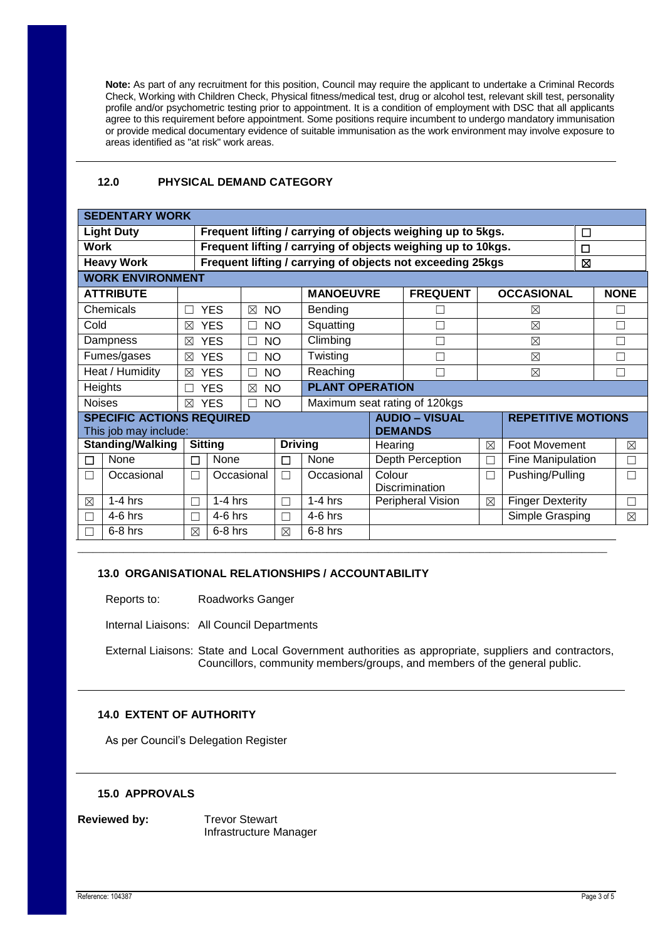**Note:** As part of any recruitment for this position, Council may require the applicant to undertake a Criminal Records Check, Working with Children Check, Physical fitness/medical test, drug or alcohol test, relevant skill test, personality profile and/or psychometric testing prior to appointment. It is a condition of employment with DSC that all applicants agree to this requirement before appointment. Some positions require incumbent to undergo mandatory immunisation or provide medical documentary evidence of suitable immunisation as the work environment may involve exposure to areas identified as "at risk" work areas.

## **12.0 PHYSICAL DEMAND CATEGORY**

| <b>SEDENTARY WORK</b>                   |  |                                                            |                                                              |                                                             |                               |                                    |                 |                 |                           |   |             |  |
|-----------------------------------------|--|------------------------------------------------------------|--------------------------------------------------------------|-------------------------------------------------------------|-------------------------------|------------------------------------|-----------------|-----------------|---------------------------|---|-------------|--|
| <b>Light Duty</b>                       |  |                                                            |                                                              | Frequent lifting / carrying of objects weighing up to 5kgs. |                               |                                    |                 |                 |                           |   | $\Box$      |  |
| <b>Work</b>                             |  |                                                            | Frequent lifting / carrying of objects weighing up to 10kgs. |                                                             |                               |                                    |                 |                 |                           | □ |             |  |
| <b>Heavy Work</b>                       |  | Frequent lifting / carrying of objects not exceeding 25kgs |                                                              |                                                             |                               |                                    |                 |                 | 図                         |   |             |  |
| <b>WORK ENVIRONMENT</b>                 |  |                                                            |                                                              |                                                             |                               |                                    |                 |                 |                           |   |             |  |
| <b>ATTRIBUTE</b>                        |  |                                                            |                                                              |                                                             | <b>MANOEUVRE</b>              |                                    | <b>FREQUENT</b> |                 | <b>OCCASIONAL</b>         |   | <b>NONE</b> |  |
| Chemicals                               |  |                                                            | <b>YES</b><br><b>NO</b><br>$\boxtimes$                       |                                                             | Bending                       |                                    |                 |                 | ⊠                         |   | П           |  |
| Cold                                    |  | ⊠                                                          | <b>YES</b><br>П                                              | <b>NO</b>                                                   | Squatting                     |                                    |                 | $\boxtimes$     |                           |   | П           |  |
| Dampness                                |  | ⊠                                                          | <b>YES</b><br>┐                                              | Climbing<br><b>NO</b>                                       |                               |                                    |                 | $\boxtimes$     |                           |   |             |  |
| Fumes/gases                             |  | $\boxtimes$                                                | <b>YES</b><br>□                                              | Twisting<br><b>NO</b>                                       |                               |                                    |                 |                 | $\boxtimes$               |   | П           |  |
| Heat / Humidity                         |  | $\boxtimes$                                                | <b>YES</b><br>П                                              | <b>NO</b>                                                   | Reaching                      |                                    |                 | $\boxtimes$     |                           |   | П           |  |
| Heights                                 |  |                                                            | <b>YES</b><br>$\boxtimes$                                    | <b>PLANT OPERATION</b><br><b>NO</b>                         |                               |                                    |                 |                 |                           |   |             |  |
| <b>Noises</b>                           |  | $\boxtimes$                                                | <b>YES</b><br><b>NO</b><br>П                                 |                                                             | Maximum seat rating of 120kgs |                                    |                 |                 |                           |   |             |  |
| <b>SPECIFIC ACTIONS REQUIRED</b>        |  |                                                            |                                                              |                                                             |                               | <b>AUDIO - VISUAL</b>              |                 |                 | <b>REPETITIVE MOTIONS</b> |   |             |  |
| <b>DEMANDS</b><br>This job may include: |  |                                                            |                                                              |                                                             |                               |                                    |                 |                 |                           |   |             |  |
| <b>Standing/Walking</b>                 |  |                                                            | <b>Sitting</b>                                               |                                                             | <b>Driving</b>                |                                    | Hearing         |                 | Foot Movement             |   | $\boxtimes$ |  |
| None<br>П                               |  | П                                                          | None                                                         | П                                                           | None                          | Depth Perception                   |                 | П               | Fine Manipulation         |   | Г           |  |
| Occasional<br>┓                         |  | П                                                          | Occasional                                                   | П                                                           | Occasional                    | Colour<br>$\Box$<br>Discrimination |                 | Pushing/Pulling |                           |   |             |  |
| $1-4$ hrs<br>⊠                          |  | П                                                          | $1-4$ hrs<br>$\Box$                                          |                                                             | $1-4$ hrs                     | Peripheral Vision                  |                 | ⊠               | <b>Finger Dexterity</b>   |   | П           |  |
| $4-6$ hrs                               |  | Π                                                          | $4-6$ hrs<br>П                                               |                                                             | $4-6$ hrs                     |                                    |                 |                 | Simple Grasping           |   | $\boxtimes$ |  |
| $6-8$ hrs                               |  | $\boxtimes$                                                | $6-8$ hrs<br>$\boxtimes$                                     |                                                             | $6-8$ hrs                     |                                    |                 |                 |                           |   |             |  |
|                                         |  |                                                            |                                                              |                                                             |                               |                                    |                 |                 |                           |   |             |  |

## **13.0 ORGANISATIONAL RELATIONSHIPS / ACCOUNTABILITY**

Reports to: Roadworks Ganger

Internal Liaisons: All Council Departments

External Liaisons: State and Local Government authorities as appropriate, suppliers and contractors, Councillors, community members/groups, and members of the general public.

## **14.0 EXTENT OF AUTHORITY**

As per Council's Delegation Register

#### **15.0 APPROVALS**

**Reviewed by:** Trevor Stewart

Infrastructure Manager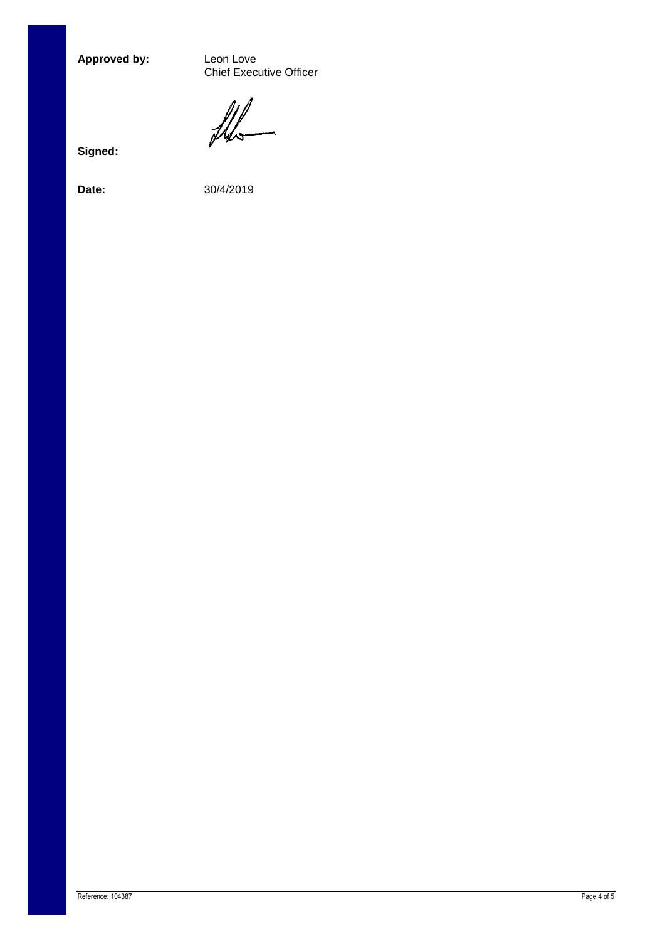Approved by:

Leon Love<br>Chief Executive Officer

the

**Signed:**

**Date:** 30/4/2019